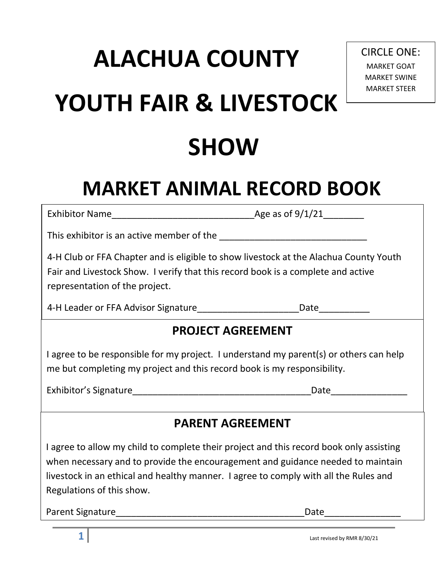# **ALACHUA COUNTY YOUTH FAIR & LIVESTOCK SHOW**

# **MARKET ANIMAL RECORD BOOK**

Exhibitor Name\_\_\_\_\_\_\_\_\_\_\_\_\_\_\_\_\_\_\_\_\_\_\_\_\_\_\_\_Age as of 9/1/21\_\_\_\_\_\_\_\_

This exhibitor is an active member of the

4-H Club or FFA Chapter and is eligible to show livestock at the Alachua County Youth Fair and Livestock Show. I verify that this record book is a complete and active representation of the project.

4-H Leader or FFA Advisor Signature\_\_\_\_\_\_\_\_\_\_\_\_\_\_\_\_\_\_\_\_Date\_\_\_\_\_\_\_\_\_\_

### **PROJECT AGREEMENT**

I agree to be responsible for my project. I understand my parent(s) or others can help me but completing my project and this record book is my responsibility.

Exhibitor's Signature exhibitor's Signature exhibitor's Signature exhibitor's Signature exhibitories of  $\Box$ 

### **PARENT AGREEMENT**

I agree to allow my child to complete their project and this record book only assisting when necessary and to provide the encouragement and guidance needed to maintain livestock in an ethical and healthy manner. I agree to comply with all the Rules and Regulations of this show.

Parent Signature\_\_\_\_\_\_\_\_\_\_\_\_\_\_\_\_\_\_\_\_\_\_\_\_\_\_\_\_\_\_\_\_\_\_\_\_\_Date\_\_\_\_\_\_\_\_\_\_\_\_\_\_\_

CIRCLE ONE: MARKET GOAT MARKET SWINE MARKET STEER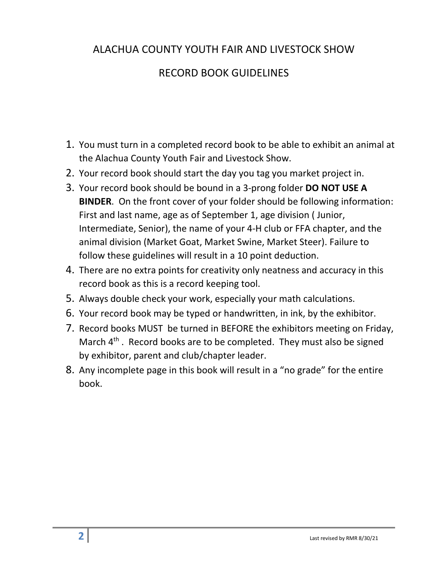### ALACHUA COUNTY YOUTH FAIR AND LIVESTOCK SHOW

### RECORD BOOK GUIDELINES

- 1. You must turn in a completed record book to be able to exhibit an animal at the Alachua County Youth Fair and Livestock Show.
- 2. Your record book should start the day you tag you market project in.
- 3. Your record book should be bound in a 3-prong folder **DO NOT USE A BINDER**. On the front cover of your folder should be following information: First and last name, age as of September 1, age division ( Junior, Intermediate, Senior), the name of your 4-H club or FFA chapter, and the animal division (Market Goat, Market Swine, Market Steer). Failure to follow these guidelines will result in a 10 point deduction.
- 4. There are no extra points for creativity only neatness and accuracy in this record book as this is a record keeping tool.
- 5. Always double check your work, especially your math calculations.
- 6. Your record book may be typed or handwritten, in ink, by the exhibitor.
- 7. Record books MUST be turned in BEFORE the exhibitors meeting on Friday, March  $4<sup>th</sup>$ . Record books are to be completed. They must also be signed by exhibitor, parent and club/chapter leader.
- 8. Any incomplete page in this book will result in a "no grade" for the entire book.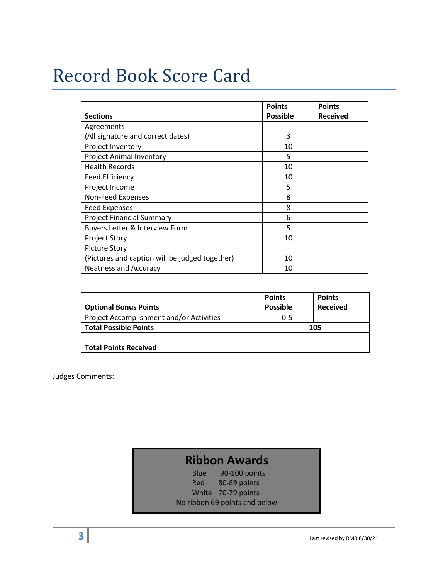### Record Book Score Card

|                                                | <b>Points</b>   | <b>Points</b>   |
|------------------------------------------------|-----------------|-----------------|
| <b>Sections</b>                                | <b>Possible</b> | <b>Received</b> |
| Agreements                                     |                 |                 |
| (All signature and correct dates)              | 3               |                 |
| Project Inventory                              | 10              |                 |
| <b>Project Animal Inventory</b>                | 5               |                 |
| <b>Health Records</b>                          | 10              |                 |
| Feed Efficiency                                | 10              |                 |
| Project Income                                 | 5               |                 |
| Non-Feed Expenses                              | 8               |                 |
| <b>Feed Expenses</b>                           | 8               |                 |
| <b>Project Financial Summary</b>               | 6               |                 |
| Buyers Letter & Interview Form                 | 5               |                 |
| <b>Project Story</b>                           | 10              |                 |
| <b>Picture Story</b>                           |                 |                 |
| (Pictures and caption will be judged together) | 10              |                 |
| <b>Neatness and Accuracy</b>                   | 10              |                 |

|                                          | <b>Points</b>   | <b>Points</b>   |  |
|------------------------------------------|-----------------|-----------------|--|
| <b>Optional Bonus Points</b>             | <b>Possible</b> | <b>Received</b> |  |
| Project Accomplishment and/or Activities | $0 - 5$         |                 |  |
| <b>Total Possible Points</b>             | 105             |                 |  |
|                                          |                 |                 |  |
| <b>Total Points Received</b>             |                 |                 |  |

Judges Comments:

### **Ribbon Awards**

Blue 90-100 points Red 80-89 points White 70-79 points No ribbon 69 points and below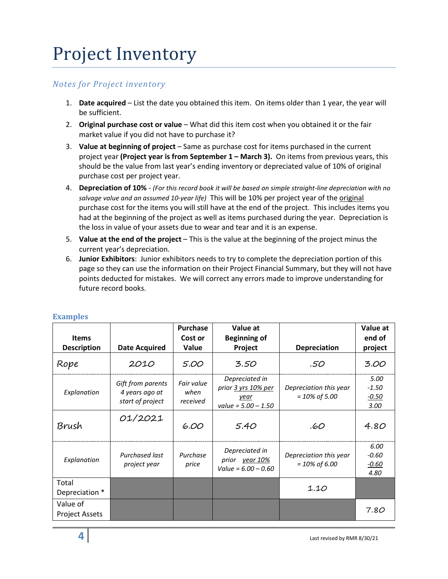### Project Inventory

#### *Notes for Project inventory*

- 1. **Date acquired** List the date you obtained this item. On items older than 1 year, the year will be sufficient.
- 2. **Original purchase cost or value** What did this item cost when you obtained it or the fair market value if you did not have to purchase it?
- 3. **Value at beginning of project** Same as purchase cost for items purchased in the current project year **(Project year is from September 1 – March 3).** On items from previous years, this should be the value from last year's ending inventory or depreciated value of 10% of original purchase cost per project year.
- 4. **Depreciation of 10%** *(For this record book it will be based on simple straight-line depreciation with no salvage value and an assumed 10-year life)* This will be 10% per project year of the original purchase cost for the items you will still have at the end of the project. This includes items you had at the beginning of the project as well as items purchased during the year. Depreciation is the loss in value of your assets due to wear and tear and it is an expense.
- 5. **Value at the end of the project** This is the value at the beginning of the project minus the current year's depreciation.
- 6. **Junior Exhibitors**: Junior exhibitors needs to try to complete the depreciation portion of this page so they can use the information on their Project Financial Summary, but they will not have points deducted for mistakes. We will correct any errors made to improve understanding for future record books.

| <b>Items</b><br><b>Description</b> | <b>Date Acquired</b>                                    | <b>Purchase</b><br>Cost or<br>Value | Value at<br><b>Beginning of</b><br>Project                             | <b>Depreciation</b>                        | Value at<br>end of<br>project      |
|------------------------------------|---------------------------------------------------------|-------------------------------------|------------------------------------------------------------------------|--------------------------------------------|------------------------------------|
| Rope                               | 2010                                                    | 5.00                                | 3.50                                                                   | .50                                        | 3.00                               |
| Explanation                        | Gift from parents<br>4 years ago at<br>start of project | Fair value<br>when<br>received      | Depreciated in<br>prior 3 yrs 10% per<br>year<br>value = $5.00 - 1.50$ | Depreciation this year<br>$= 10\%$ of 5.00 | 5.00<br>$-1.50$<br>$-0.50$<br>3.00 |
| Brush                              | 01/2021                                                 | 6.00                                | 5.40                                                                   | .60                                        | 4.80                               |
| Explanation                        | Purchased last<br>project year                          | Purchase<br>price                   | Depreciated in<br>prior year 10%<br>Value = $6.00 - 0.60$              | Depreciation this year<br>$= 10\%$ of 6.00 | 6.00<br>$-0.60$<br>$-0.60$<br>4.80 |
| Total<br>Depreciation *            |                                                         |                                     |                                                                        | 1.10                                       |                                    |
| Value of<br><b>Project Assets</b>  |                                                         |                                     |                                                                        |                                            | 7.80                               |

#### **Evamples**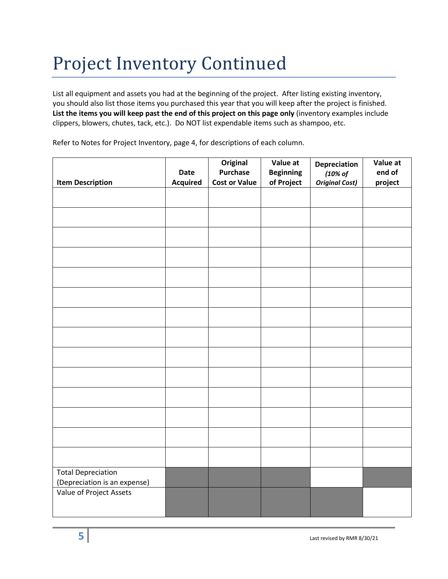## Project Inventory Continued

List all equipment and assets you had at the beginning of the project. After listing existing inventory, you should also list those items you purchased this year that you will keep after the project is finished. **List the items you will keep past the end of this project on this page only** (inventory examples include clippers, blowers, chutes, tack, etc.). Do NOT list expendable items such as shampoo, etc.

Refer to Notes for Project Inventory, page 4, for descriptions of each column.

|                                                           | Date            | Original<br><b>Purchase</b> | Value at<br><b>Beginning</b> | Depreciation<br>(10% of | Value at<br>end of |
|-----------------------------------------------------------|-----------------|-----------------------------|------------------------------|-------------------------|--------------------|
| <b>Item Description</b>                                   | <b>Acquired</b> | <b>Cost or Value</b>        | of Project                   | <b>Original Cost)</b>   | project            |
|                                                           |                 |                             |                              |                         |                    |
|                                                           |                 |                             |                              |                         |                    |
|                                                           |                 |                             |                              |                         |                    |
|                                                           |                 |                             |                              |                         |                    |
|                                                           |                 |                             |                              |                         |                    |
|                                                           |                 |                             |                              |                         |                    |
|                                                           |                 |                             |                              |                         |                    |
|                                                           |                 |                             |                              |                         |                    |
|                                                           |                 |                             |                              |                         |                    |
|                                                           |                 |                             |                              |                         |                    |
|                                                           |                 |                             |                              |                         |                    |
|                                                           |                 |                             |                              |                         |                    |
|                                                           |                 |                             |                              |                         |                    |
|                                                           |                 |                             |                              |                         |                    |
| <b>Total Depreciation</b><br>(Depreciation is an expense) |                 |                             |                              |                         |                    |
| Value of Project Assets                                   |                 |                             |                              |                         |                    |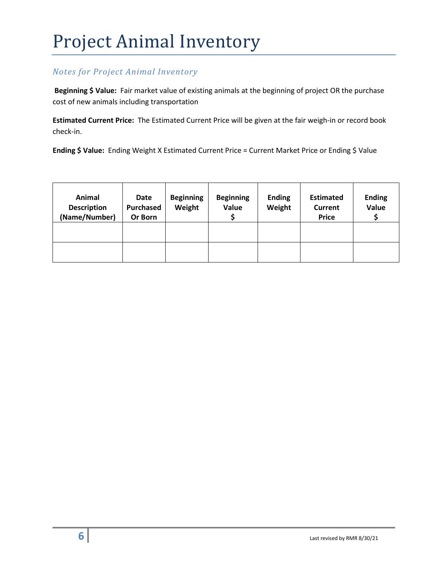# Project Animal Inventory

#### *Notes for Project Animal Inventory*

**Beginning \$ Value:** Fair market value of existing animals at the beginning of project OR the purchase cost of new animals including transportation

**Estimated Current Price:** The Estimated Current Price will be given at the fair weigh-in or record book check-in.

**Ending \$ Value:** Ending Weight X Estimated Current Price = Current Market Price or Ending \$ Value

| Animal<br><b>Description</b><br>(Name/Number) | Date<br><b>Purchased</b><br>Or Born | <b>Beginning</b><br>Weight | <b>Beginning</b><br>Value | <b>Ending</b><br>Weight | <b>Estimated</b><br><b>Current</b><br><b>Price</b> | <b>Ending</b><br>Value |
|-----------------------------------------------|-------------------------------------|----------------------------|---------------------------|-------------------------|----------------------------------------------------|------------------------|
|                                               |                                     |                            |                           |                         |                                                    |                        |
|                                               |                                     |                            |                           |                         |                                                    |                        |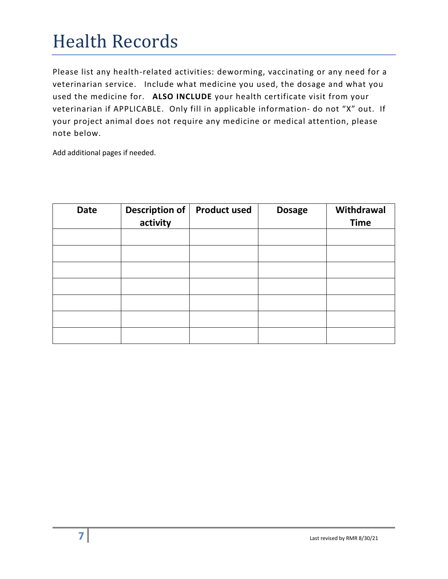### Health Records

Please list any health-related activities: deworming, vaccinating or any need for a veterinarian service. Include what medicine you used, the dosage and what you used the medicine for. **ALSO INCLUDE** your health certificate visit from your veterinarian if APPLICABLE. Only fill in applicable information- do not "X" out. If your project animal does not require any medicine or medical attention, please note below.

Add additional pages if needed.

| <b>Date</b> | Description of<br>activity | <b>Product used</b> | <b>Dosage</b> | Withdrawal<br><b>Time</b> |
|-------------|----------------------------|---------------------|---------------|---------------------------|
|             |                            |                     |               |                           |
|             |                            |                     |               |                           |
|             |                            |                     |               |                           |
|             |                            |                     |               |                           |
|             |                            |                     |               |                           |
|             |                            |                     |               |                           |
|             |                            |                     |               |                           |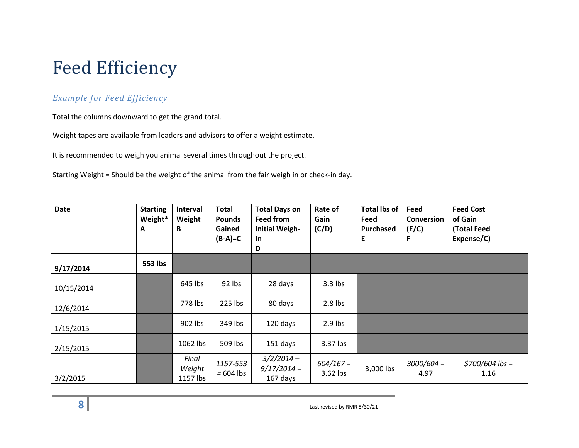### Feed Efficiency

#### *Example for Feed Efficiency*

Total the columns downward to get the grand total.

Weight tapes are available from leaders and advisors to offer a weight estimate.

It is recommended to weigh you animal several times throughout the project.

Starting Weight = Should be the weight of the animal from the fair weigh in or check-in day.

| <b>Date</b> | <b>Starting</b><br>Weight*<br>A | Interval<br>Weight<br>В     | <b>Total</b><br><b>Pounds</b><br>Gained<br>$(B-A)=C$ | <b>Total Days on</b><br><b>Feed from</b><br><b>Initial Weigh-</b><br><b>In</b><br>D | Rate of<br>Gain<br>(C/D) | <b>Total lbs of</b><br>Feed<br>Purchased<br>E | Feed<br><b>Conversion</b><br>(E/C)<br>F | <b>Feed Cost</b><br>of Gain<br>(Total Feed<br>Expense/C) |
|-------------|---------------------------------|-----------------------------|------------------------------------------------------|-------------------------------------------------------------------------------------|--------------------------|-----------------------------------------------|-----------------------------------------|----------------------------------------------------------|
| 9/17/2014   | 553 lbs                         |                             |                                                      |                                                                                     |                          |                                               |                                         |                                                          |
| 10/15/2014  |                                 | 645 lbs                     | 92 lbs                                               | 28 days                                                                             | $3.3$ lbs                |                                               |                                         |                                                          |
| 12/6/2014   |                                 | 778 lbs                     | 225 lbs                                              | 80 days                                                                             | $2.8$ lbs                |                                               |                                         |                                                          |
| 1/15/2015   |                                 | 902 lbs                     | 349 lbs                                              | 120 days                                                                            | $2.9$ lbs                |                                               |                                         |                                                          |
| 2/15/2015   |                                 | 1062 lbs                    | 509 lbs                                              | 151 days                                                                            | 3.37 lbs                 |                                               |                                         |                                                          |
| 3/2/2015    |                                 | Final<br>Weight<br>1157 lbs | 1157-553<br>$= 604$ lbs                              | $3/2/2014 -$<br>$9/17/2014 =$<br>167 days                                           | $604/167 =$<br>3.62 lbs  | 3,000 lbs                                     | $3000/604 =$<br>4.97                    | $$700/604$ lbs =<br>1.16                                 |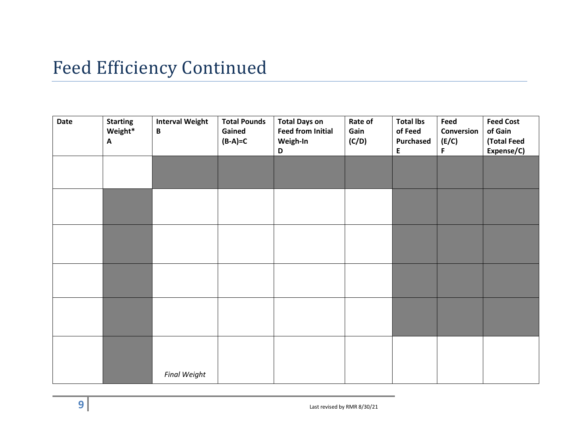### Feed Efficiency Continued

| Date | <b>Starting</b><br>Weight*<br>A | <b>Interval Weight</b><br>$\, {\bf B}$ | <b>Total Pounds</b><br>Gained<br>$(B-A)=C$ | <b>Total Days on</b><br><b>Feed from Initial</b><br>Weigh-In<br>D | Rate of<br>Gain<br>(C/D) | <b>Total lbs</b><br>of Feed<br><b>Purchased</b><br>E | Feed<br>Conversion<br>(E/C)<br>F | <b>Feed Cost</b><br>of Gain<br>(Total Feed<br>Expense/C) |
|------|---------------------------------|----------------------------------------|--------------------------------------------|-------------------------------------------------------------------|--------------------------|------------------------------------------------------|----------------------------------|----------------------------------------------------------|
|      |                                 |                                        |                                            |                                                                   |                          |                                                      |                                  |                                                          |
|      |                                 |                                        |                                            |                                                                   |                          |                                                      |                                  |                                                          |
|      |                                 |                                        |                                            |                                                                   |                          |                                                      |                                  |                                                          |
|      |                                 |                                        |                                            |                                                                   |                          |                                                      |                                  |                                                          |
|      |                                 |                                        |                                            |                                                                   |                          |                                                      |                                  |                                                          |
|      |                                 | <b>Final Weight</b>                    |                                            |                                                                   |                          |                                                      |                                  |                                                          |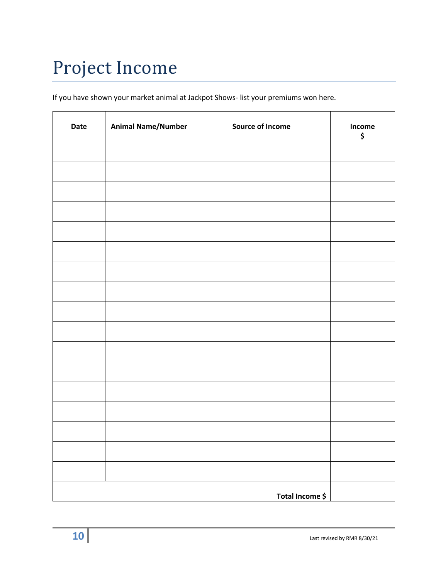# Project Income

If you have shown your market animal at Jackpot Shows- list your premiums won here.

| Date | <b>Animal Name/Number</b> | <b>Source of Income</b> | Income<br>\$ |
|------|---------------------------|-------------------------|--------------|
|      |                           |                         |              |
|      |                           |                         |              |
|      |                           |                         |              |
|      |                           |                         |              |
|      |                           |                         |              |
|      |                           |                         |              |
|      |                           |                         |              |
|      |                           |                         |              |
|      |                           |                         |              |
|      |                           |                         |              |
|      |                           |                         |              |
|      |                           |                         |              |
|      |                           |                         |              |
|      |                           |                         |              |
|      |                           |                         |              |
|      |                           |                         |              |
|      |                           |                         |              |
|      |                           | Total Income \$         |              |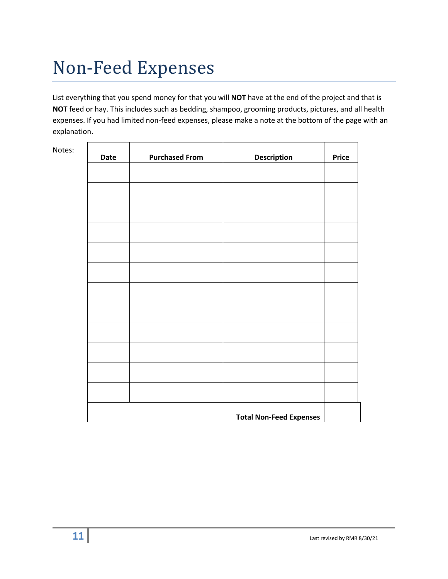# Non-Feed Expenses

Notes:

List everything that you spend money for that you will **NOT** have at the end of the project and that is **NOT** feed or hay. This includes such as bedding, shampoo, grooming products, pictures, and all health expenses. If you had limited non-feed expenses, please make a note at the bottom of the page with an explanation.

| Date | <b>Purchased From</b>          | <b>Description</b> | <b>Price</b> |  |  |
|------|--------------------------------|--------------------|--------------|--|--|
|      |                                |                    |              |  |  |
|      |                                |                    |              |  |  |
|      |                                |                    |              |  |  |
|      |                                |                    |              |  |  |
|      |                                |                    |              |  |  |
|      |                                |                    |              |  |  |
|      |                                |                    |              |  |  |
|      |                                |                    |              |  |  |
|      |                                |                    |              |  |  |
|      |                                |                    |              |  |  |
|      |                                |                    |              |  |  |
|      |                                |                    |              |  |  |
|      | <b>Total Non-Feed Expenses</b> |                    |              |  |  |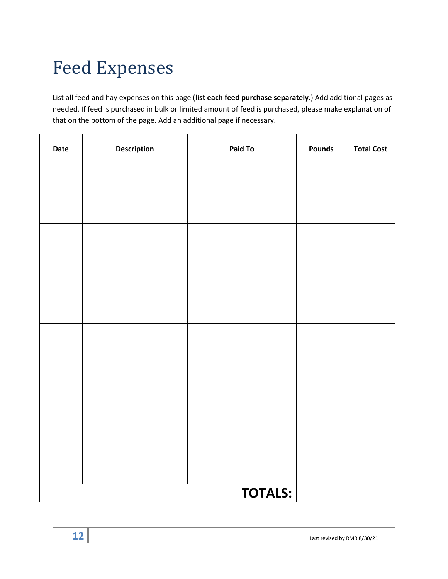# Feed Expenses

List all feed and hay expenses on this page (**list each feed purchase separately**.) Add additional pages as needed. If feed is purchased in bulk or limited amount of feed is purchased, please make explanation of that on the bottom of the page. Add an additional page if necessary.

| Date | <b>Description</b> | Paid To        | <b>Pounds</b> | <b>Total Cost</b> |
|------|--------------------|----------------|---------------|-------------------|
|      |                    |                |               |                   |
|      |                    |                |               |                   |
|      |                    |                |               |                   |
|      |                    |                |               |                   |
|      |                    |                |               |                   |
|      |                    |                |               |                   |
|      |                    |                |               |                   |
|      |                    |                |               |                   |
|      |                    |                |               |                   |
|      |                    |                |               |                   |
|      |                    |                |               |                   |
|      |                    |                |               |                   |
|      |                    |                |               |                   |
|      |                    |                |               |                   |
|      |                    |                |               |                   |
|      |                    |                |               |                   |
|      |                    | <b>TOTALS:</b> |               |                   |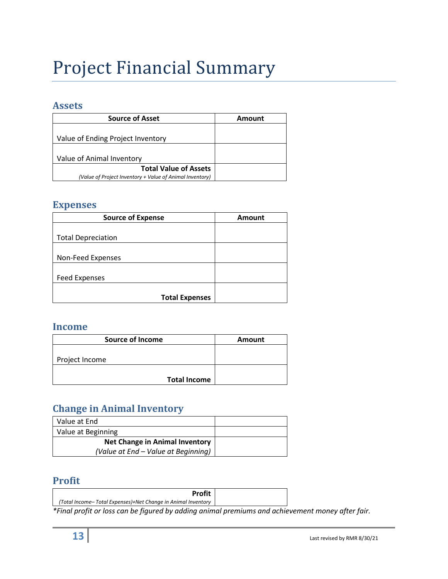# Project Financial Summary

#### **Assets**

| <b>Source of Asset</b>                                   | Amount |
|----------------------------------------------------------|--------|
|                                                          |        |
| Value of Ending Project Inventory                        |        |
|                                                          |        |
| Value of Animal Inventory                                |        |
| <b>Total Value of Assets</b>                             |        |
| (Value of Project Inventory + Value of Animal Inventory) |        |

#### **Expenses**

| <b>Source of Expense</b>  | <b>Amount</b> |
|---------------------------|---------------|
|                           |               |
| <b>Total Depreciation</b> |               |
|                           |               |
| Non-Feed Expenses         |               |
|                           |               |
| <b>Feed Expenses</b>      |               |
|                           |               |
| <b>Total Expenses</b>     |               |

#### **Income**

| <b>Source of Income</b> | <b>Amount</b> |
|-------------------------|---------------|
| Project Income          |               |
| <b>Total Income</b>     |               |

### **Change in Animal Inventory**

| Value at End                          |  |
|---------------------------------------|--|
| Value at Beginning                    |  |
| <b>Net Change in Animal Inventory</b> |  |
| (Value at End – Value at Beginning)   |  |

#### **Profit**

| <b>Profit</b>                                                                      |  |
|------------------------------------------------------------------------------------|--|
| (Total Income– Total Expenses)+Net Change in Animal Inventory                      |  |
| * Einel nuafit en lege een het financeed by eelekues enimes langeniume en de echia |  |

*\*Final profit or loss can be figured by adding animal premiums and achievement money after fair.*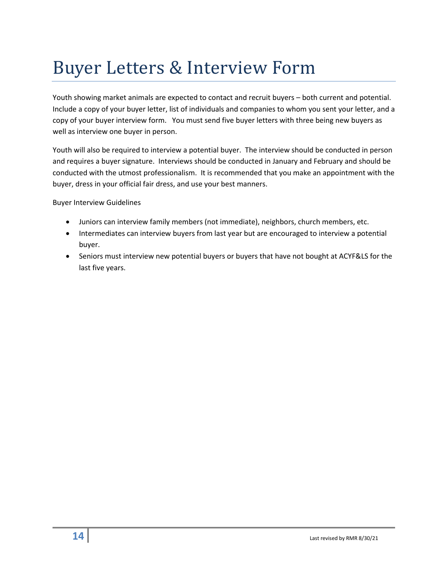# Buyer Letters & Interview Form

Youth showing market animals are expected to contact and recruit buyers – both current and potential. Include a copy of your buyer letter, list of individuals and companies to whom you sent your letter, and a copy of your buyer interview form. You must send five buyer letters with three being new buyers as well as interview one buyer in person.

Youth will also be required to interview a potential buyer. The interview should be conducted in person and requires a buyer signature. Interviews should be conducted in January and February and should be conducted with the utmost professionalism. It is recommended that you make an appointment with the buyer, dress in your official fair dress, and use your best manners.

Buyer Interview Guidelines

- Juniors can interview family members (not immediate), neighbors, church members, etc.
- Intermediates can interview buyers from last year but are encouraged to interview a potential buyer.
- Seniors must interview new potential buyers or buyers that have not bought at ACYF&LS for the last five years.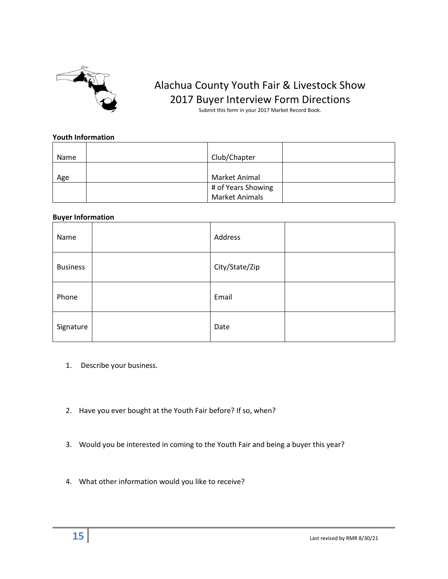

### Alachua County Youth Fair & Livestock Show 2017 Buyer Interview Form Directions

Submit this form in your 2017 Market Record Book.

#### **Youth Information**

| Name | Club/Chapter          |  |
|------|-----------------------|--|
|      |                       |  |
|      |                       |  |
| Age  | Market Animal         |  |
|      | # of Years Showing    |  |
|      | <b>Market Animals</b> |  |

#### **Buyer Information**

| $\overline{\phantom{a}}$<br>Name | Address        |  |
|----------------------------------|----------------|--|
| <b>Business</b>                  | City/State/Zip |  |
| Phone                            | Email          |  |
| Signature                        | Date           |  |

- 1. Describe your business.
- 2. Have you ever bought at the Youth Fair before? If so, when?
- 3. Would you be interested in coming to the Youth Fair and being a buyer this year?
- 4. What other information would you like to receive?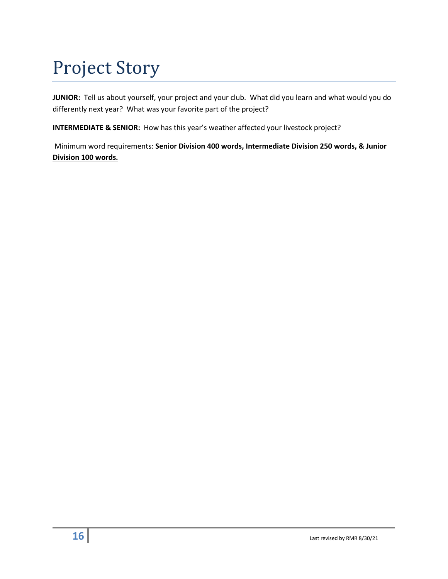# Project Story

**JUNIOR:** Tell us about yourself, your project and your club. What did you learn and what would you do differently next year? What was your favorite part of the project?

**INTERMEDIATE & SENIOR:** How has this year's weather affected your livestock project?

Minimum word requirements: **Senior Division 400 words, Intermediate Division 250 words, & Junior Division 100 words.**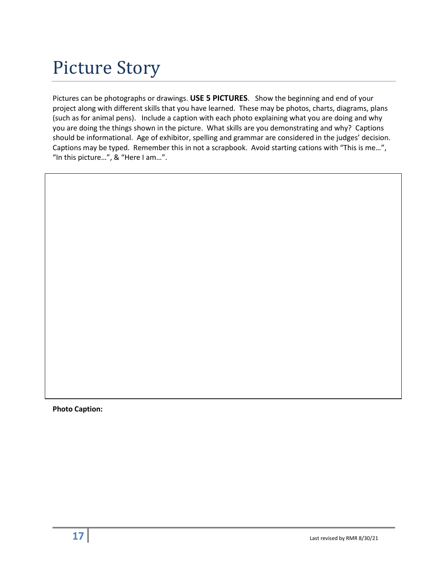Pictures can be photographs or drawings. **USE 5 PICTURES**. Show the beginning and end of your project along with different skills that you have learned. These may be photos, charts, diagrams, plans (such as for animal pens). Include a caption with each photo explaining what you are doing and why you are doing the things shown in the picture. What skills are you demonstrating and why? Captions should be informational. Age of exhibitor, spelling and grammar are considered in the judges' decision. Captions may be typed. Remember this in not a scrapbook. Avoid starting cations with "This is me…", "In this picture…", & "Here I am…".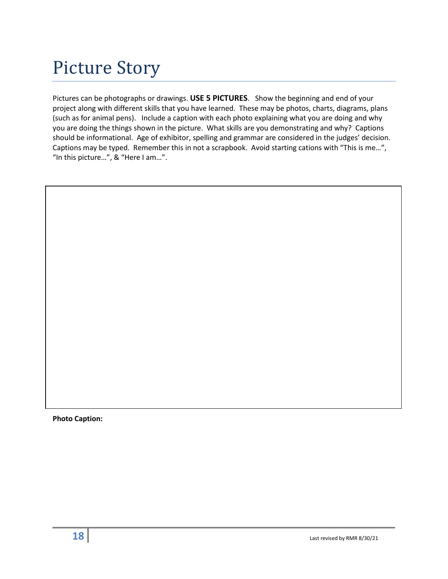Pictures can be photographs or drawings. **USE 5 PICTURES**. Show the beginning and end of your project along with different skills that you have learned. These may be photos, charts, diagrams, plans (such as for animal pens). Include a caption with each photo explaining what you are doing and why you are doing the things shown in the picture. What skills are you demonstrating and why? Captions should be informational. Age of exhibitor, spelling and grammar are considered in the judges' decision. Captions may be typed. Remember this in not a scrapbook. Avoid starting cations with "This is me…", "In this picture…", & "Here I am…".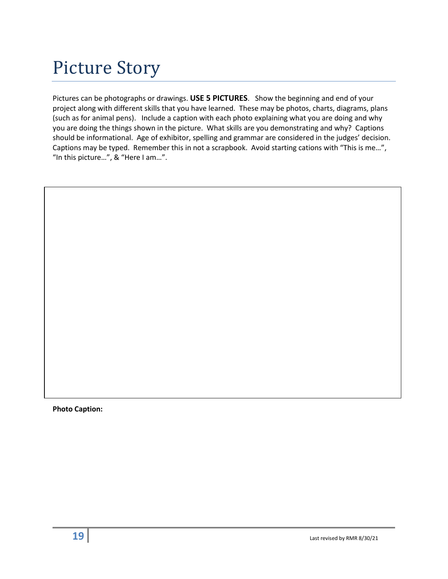Pictures can be photographs or drawings. **USE 5 PICTURES**. Show the beginning and end of your project along with different skills that you have learned. These may be photos, charts, diagrams, plans (such as for animal pens). Include a caption with each photo explaining what you are doing and why you are doing the things shown in the picture. What skills are you demonstrating and why? Captions should be informational. Age of exhibitor, spelling and grammar are considered in the judges' decision. Captions may be typed. Remember this in not a scrapbook. Avoid starting cations with "This is me…", "In this picture…", & "Here I am…".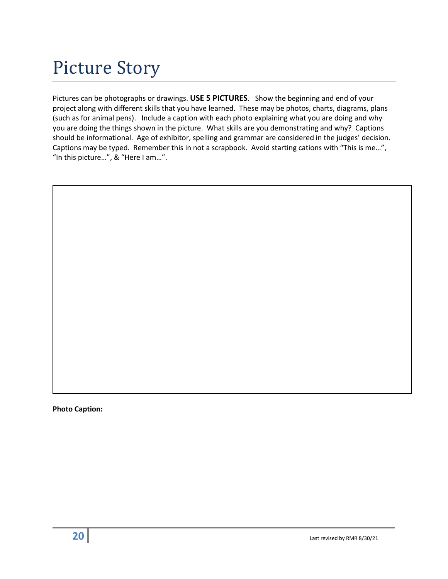Pictures can be photographs or drawings. **USE 5 PICTURES**. Show the beginning and end of your project along with different skills that you have learned. These may be photos, charts, diagrams, plans (such as for animal pens). Include a caption with each photo explaining what you are doing and why you are doing the things shown in the picture. What skills are you demonstrating and why? Captions should be informational. Age of exhibitor, spelling and grammar are considered in the judges' decision. Captions may be typed. Remember this in not a scrapbook. Avoid starting cations with "This is me…", "In this picture…", & "Here I am…".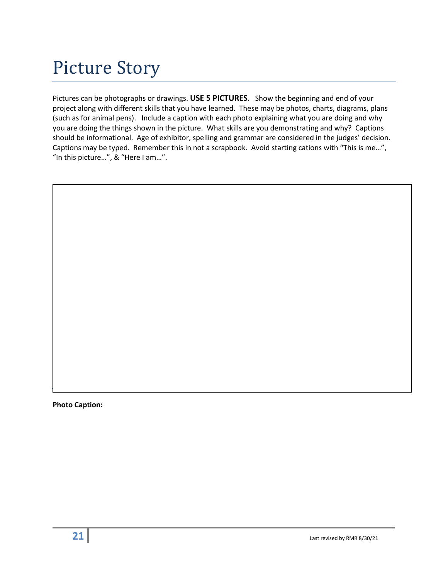Pictures can be photographs or drawings. **USE 5 PICTURES**. Show the beginning and end of your project along with different skills that you have learned. These may be photos, charts, diagrams, plans (such as for animal pens). Include a caption with each photo explaining what you are doing and why you are doing the things shown in the picture. What skills are you demonstrating and why? Captions should be informational. Age of exhibitor, spelling and grammar are considered in the judges' decision. Captions may be typed. Remember this in not a scrapbook. Avoid starting cations with "This is me…", "In this picture…", & "Here I am…".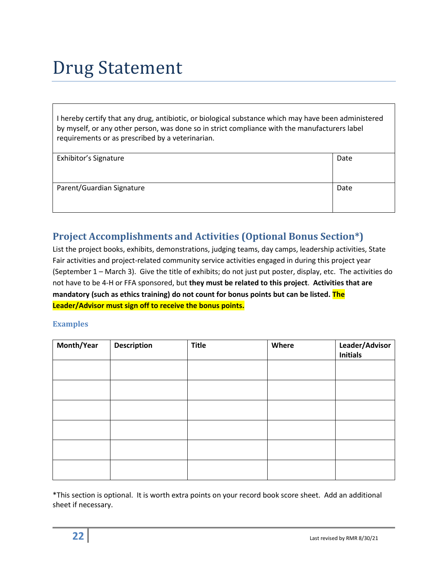## Drug Statement

I hereby certify that any drug, antibiotic, or biological substance which may have been administered by myself, or any other person, was done so in strict compliance with the manufacturers label requirements or as prescribed by a veterinarian.

| Exhibitor's Signature     | Date |
|---------------------------|------|
|                           |      |
|                           |      |
|                           |      |
|                           |      |
| Parent/Guardian Signature | Date |
|                           |      |
|                           |      |
|                           |      |
|                           |      |

#### **Project Accomplishments and Activities (Optional Bonus Section\*)**

List the project books, exhibits, demonstrations, judging teams, day camps, leadership activities, State Fair activities and project-related community service activities engaged in during this project year (September 1 – March 3). Give the title of exhibits; do not just put poster, display, etc. The activities do not have to be 4-H or FFA sponsored, but **they must be related to this project**. **Activities that are mandatory (such as ethics training) do not count for bonus points but can be listed. The Leader/Advisor must sign off to receive the bonus points.**

#### **Examples**

| Month/Year | <b>Description</b> | <b>Title</b> | Where | Leader/Advisor<br><b>Initials</b> |
|------------|--------------------|--------------|-------|-----------------------------------|
|            |                    |              |       |                                   |
|            |                    |              |       |                                   |
|            |                    |              |       |                                   |
|            |                    |              |       |                                   |
|            |                    |              |       |                                   |
|            |                    |              |       |                                   |

\*This section is optional. It is worth extra points on your record book score sheet. Add an additional sheet if necessary.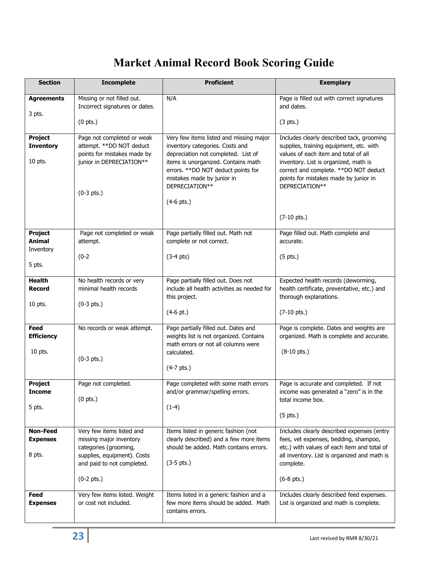### **Market Animal Record Book Scoring Guide**

| <b>Section</b>                               | <b>Incomplete</b>                                                                                                                          | <b>Proficient</b>                                                                                                                                                                               | <b>Exemplary</b>                                                                                                                                                                                                |
|----------------------------------------------|--------------------------------------------------------------------------------------------------------------------------------------------|-------------------------------------------------------------------------------------------------------------------------------------------------------------------------------------------------|-----------------------------------------------------------------------------------------------------------------------------------------------------------------------------------------------------------------|
| <b>Agreements</b>                            | Missing or not filled out.<br>Incorrect signatures or dates.                                                                               | N/A                                                                                                                                                                                             | Page is filled out with correct signatures<br>and dates.                                                                                                                                                        |
| 3 pts.                                       | $(0$ pts.)                                                                                                                                 |                                                                                                                                                                                                 | $(3 \text{ pts.})$                                                                                                                                                                                              |
| Project<br><b>Inventory</b><br>10 pts.       | Page not completed or weak<br>attempt. **DO NOT deduct<br>points for mistakes made by<br>junior in DEPRECIATION**                          | Very few items listed and missing major<br>inventory categories. Costs and<br>depreciation not completed. List of<br>items is unorganized. Contains math<br>errors. ** DO NOT deduct points for | Includes clearly described tack, grooming<br>supplies, training equipment, etc. with<br>values of each item and total of all<br>inventory. List is organized, math is<br>correct and complete. ** DO NOT deduct |
|                                              | $(0-3$ pts.)                                                                                                                               | mistakes made by junior in<br>DEPRECIATION**<br>$(4-6$ pts.)                                                                                                                                    | points for mistakes made by junior in<br>DEPRECIATION**<br>$(7-10 \text{ pts.})$                                                                                                                                |
|                                              |                                                                                                                                            |                                                                                                                                                                                                 |                                                                                                                                                                                                                 |
| Project<br>Animal<br>Inventory               | Page not completed or weak<br>attempt.                                                                                                     | Page partially filled out. Math not<br>complete or not correct.                                                                                                                                 | Page filled out. Math complete and<br>accurate.                                                                                                                                                                 |
| 5 pts.                                       | $(0-2)$                                                                                                                                    | $(3-4 \text{ pts})$                                                                                                                                                                             | $(5$ pts.)                                                                                                                                                                                                      |
| <b>Health</b><br>Record                      | No health records or very<br>minimal health records                                                                                        | Page partially filled out. Does not<br>include all health activities as needed for<br>this project.                                                                                             | Expected health records (deworming,<br>health certificate, preventative, etc.) and<br>thorough explanations.                                                                                                    |
| 10 pts.                                      | $(0-3 \, pts.)$                                                                                                                            | $(4-6$ pt.)                                                                                                                                                                                     | $(7-10 \text{ pts.})$                                                                                                                                                                                           |
| Feed<br><b>Efficiency</b>                    | No records or weak attempt.                                                                                                                | Page partially filled out. Dates and<br>weights list is not organized. Contains<br>math errors or not all columns were                                                                          | Page is complete. Dates and weights are<br>organized. Math is complete and accurate.                                                                                                                            |
| 10 pts.                                      | $(0-3$ pts.)                                                                                                                               | calculated.<br>$(4-7$ pts.)                                                                                                                                                                     | $(8-10$ pts.)                                                                                                                                                                                                   |
|                                              |                                                                                                                                            |                                                                                                                                                                                                 |                                                                                                                                                                                                                 |
| Project<br><b>Income</b>                     | Page not completed.<br>$(0$ pts.)                                                                                                          | Page completed with some math errors<br>and/or grammar/spelling errors.                                                                                                                         | Page is accurate and completed. If not<br>income was generated a "zero" is in the<br>total income box.                                                                                                          |
| 5 pts.                                       |                                                                                                                                            | $(1-4)$                                                                                                                                                                                         | $(5$ pts.)                                                                                                                                                                                                      |
| <b>Non-Feed</b><br><b>Expenses</b><br>8 pts. | Very few items listed and<br>missing major inventory<br>categories (grooming,<br>supplies, equipment). Costs<br>and paid to not completed. | Items listed in generic fashion (not<br>clearly described) and a few more items<br>should be added. Math contains errors.<br>$(3-5 \text{ pts.})$                                               | Includes clearly described expenses (entry<br>fees, vet expenses, bedding, shampoo,<br>etc.) with values of each item and total of<br>all inventory. List is organized and math is<br>complete.                 |
|                                              | $(0-2 \, \text{pts.})$                                                                                                                     |                                                                                                                                                                                                 | $(6-8 \text{ pts.})$                                                                                                                                                                                            |
| Feed<br><b>Expenses</b>                      | Very few items listed. Weight<br>or cost not included.                                                                                     | Items listed in a generic fashion and a<br>few more items should be added. Math<br>contains errors.                                                                                             | Includes clearly described feed expenses.<br>List is organized and math is complete.                                                                                                                            |